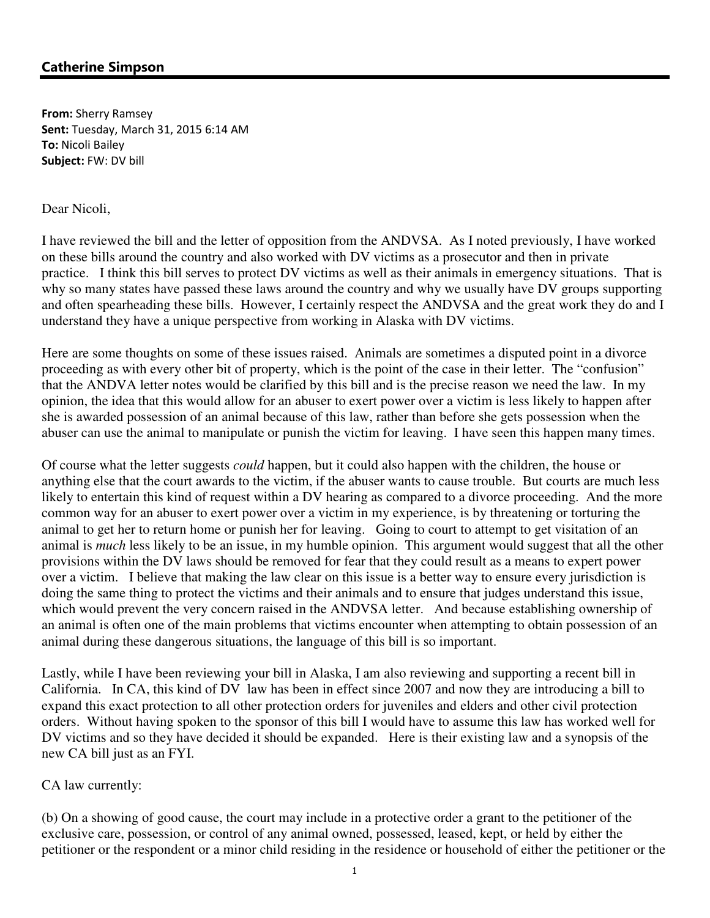# Catherine Simpson

From: Sherry Ramsey Sent: Tuesday, March 31, 2015 6:14 AM To: Nicoli Bailey Subject: FW: DV bill

#### Dear Nicoli,

I have reviewed the bill and the letter of opposition from the ANDVSA. As I noted previously, I have worked on these bills around the country and also worked with DV victims as a prosecutor and then in private practice. I think this bill serves to protect DV victims as well as their animals in emergency situations. That is why so many states have passed these laws around the country and why we usually have DV groups supporting and often spearheading these bills. However, I certainly respect the ANDVSA and the great work they do and I understand they have a unique perspective from working in Alaska with DV victims.

Here are some thoughts on some of these issues raised. Animals are sometimes a disputed point in a divorce proceeding as with every other bit of property, which is the point of the case in their letter. The "confusion" that the ANDVA letter notes would be clarified by this bill and is the precise reason we need the law. In my opinion, the idea that this would allow for an abuser to exert power over a victim is less likely to happen after she is awarded possession of an animal because of this law, rather than before she gets possession when the abuser can use the animal to manipulate or punish the victim for leaving. I have seen this happen many times.

Of course what the letter suggests *could* happen, but it could also happen with the children, the house or anything else that the court awards to the victim, if the abuser wants to cause trouble. But courts are much less likely to entertain this kind of request within a DV hearing as compared to a divorce proceeding. And the more common way for an abuser to exert power over a victim in my experience, is by threatening or torturing the animal to get her to return home or punish her for leaving. Going to court to attempt to get visitation of an animal is *much* less likely to be an issue, in my humble opinion. This argument would suggest that all the other provisions within the DV laws should be removed for fear that they could result as a means to expert power over a victim. I believe that making the law clear on this issue is a better way to ensure every jurisdiction is doing the same thing to protect the victims and their animals and to ensure that judges understand this issue, which would prevent the very concern raised in the ANDVSA letter. And because establishing ownership of an animal is often one of the main problems that victims encounter when attempting to obtain possession of an animal during these dangerous situations, the language of this bill is so important.

Lastly, while I have been reviewing your bill in Alaska, I am also reviewing and supporting a recent bill in California. In CA, this kind of DV law has been in effect since 2007 and now they are introducing a bill to expand this exact protection to all other protection orders for juveniles and elders and other civil protection orders. Without having spoken to the sponsor of this bill I would have to assume this law has worked well for DV victims and so they have decided it should be expanded. Here is their existing law and a synopsis of the new CA bill just as an FYI.

### CA law currently:

(b) On a showing of good cause, the court may include in a protective order a grant to the petitioner of the exclusive care, possession, or control of any animal owned, possessed, leased, kept, or held by either the petitioner or the respondent or a minor child residing in the residence or household of either the petitioner or the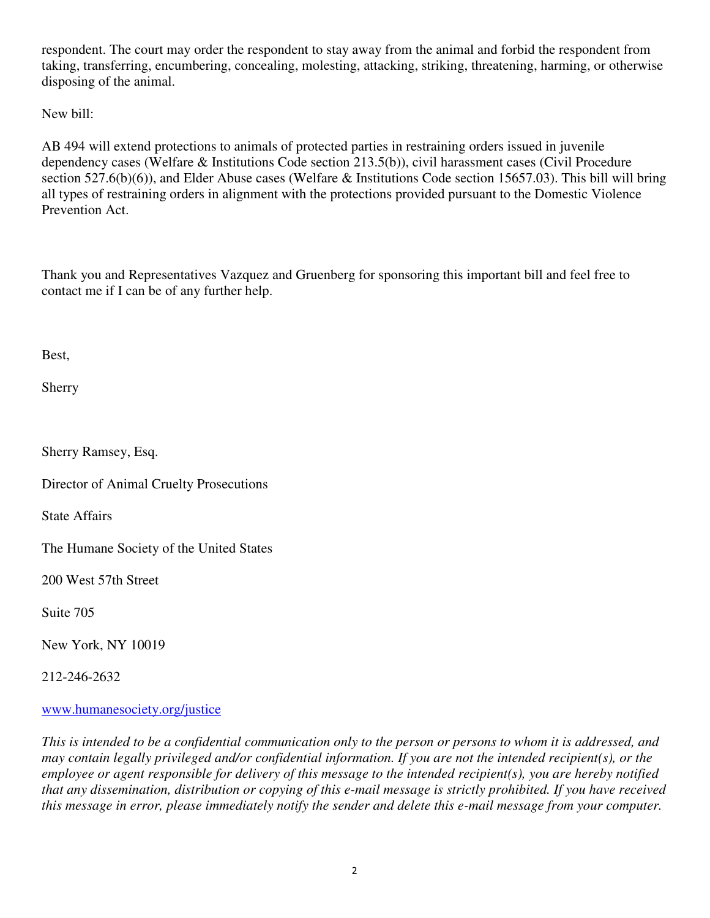respondent. The court may order the respondent to stay away from the animal and forbid the respondent from taking, transferring, encumbering, concealing, molesting, attacking, striking, threatening, harming, or otherwise disposing of the animal.

New bill:

AB 494 will extend protections to animals of protected parties in restraining orders issued in juvenile dependency cases (Welfare & Institutions Code section 213.5(b)), civil harassment cases (Civil Procedure section 527.6(b)(6)), and Elder Abuse cases (Welfare & Institutions Code section 15657.03). This bill will bring all types of restraining orders in alignment with the protections provided pursuant to the Domestic Violence Prevention Act.

Thank you and Representatives Vazquez and Gruenberg for sponsoring this important bill and feel free to contact me if I can be of any further help.

Best,

Sherry

Sherry Ramsey, Esq.

Director of Animal Cruelty Prosecutions

State Affairs

The Humane Society of the United States

200 West 57th Street

Suite 705

New York, NY 10019

212-246-2632

### www.humanesociety.org/justice

*This is intended to be a confidential communication only to the person or persons to whom it is addressed, and may contain legally privileged and/or confidential information. If you are not the intended recipient(s), or the employee or agent responsible for delivery of this message to the intended recipient(s), you are hereby notified that any dissemination, distribution or copying of this e-mail message is strictly prohibited. If you have received this message in error, please immediately notify the sender and delete this e-mail message from your computer.*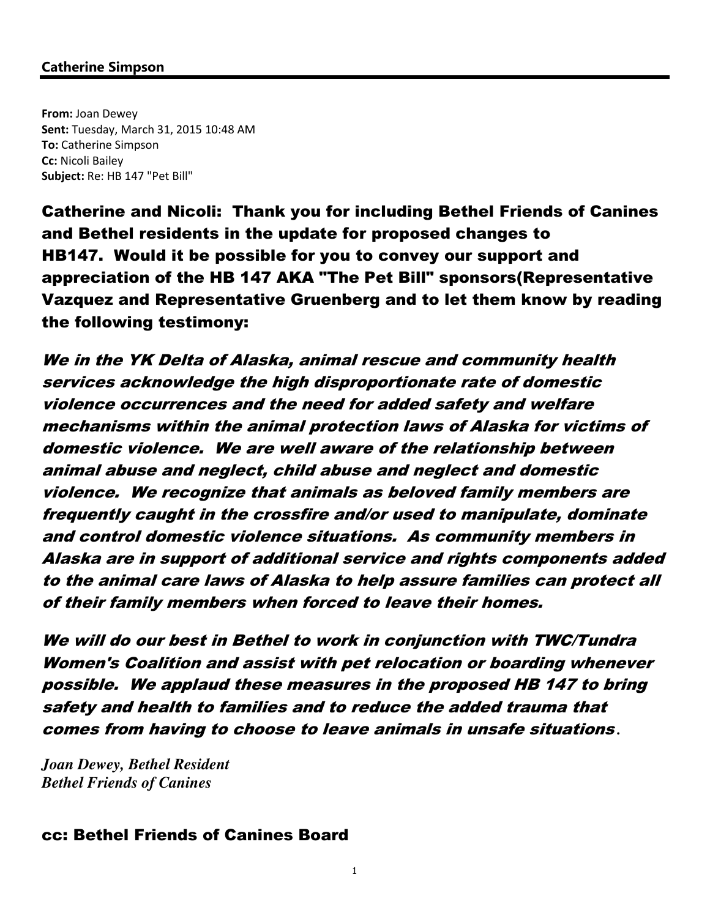## Catherine Simpson

From: Joan Dewey Sent: Tuesday, March 31, 2015 10:48 AM To: Catherine Simpson Cc: Nicoli Bailey Subject: Re: HB 147 "Pet Bill"

Catherine and Nicoli: Thank you for including Bethel Friends of Canines and Bethel residents in the update for proposed changes to HB147. Would it be possible for you to convey our support and appreciation of the HB 147 AKA "The Pet Bill" sponsors(Representative Vazquez and Representative Gruenberg and to let them know by reading the following testimony:

We in the YK Delta of Alaska, animal rescue and community health services acknowledge the high disproportionate rate of domestic violence occurrences and the need for added safety and welfare mechanisms within the animal protection laws of Alaska for victims of domestic violence. We are well aware of the relationship between animal abuse and neglect, child abuse and neglect and domestic violence. We recognize that animals as beloved family members are frequently caught in the crossfire and/or used to manipulate, dominate and control domestic violence situations. As community members in Alaska are in support of additional service and rights components added to the animal care laws of Alaska to help assure families can protect all of their family members when forced to leave their homes.

We will do our best in Bethel to work in conjunction with TWC/Tundra Women's Coalition and assist with pet relocation or boarding whenever possible. We applaud these measures in the proposed HB 147 to bring safety and health to families and to reduce the added trauma that comes from having to choose to leave animals in unsafe situations *.*

*Joan Dewey, Bethel Resident Bethel Friends of Canines* 

## cc: Bethel Friends of Canines Board